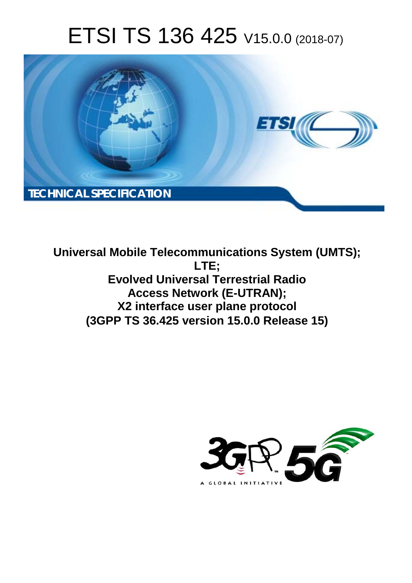# ETSI TS 136 425 V15.0.0 (2018-07)



**Universal Mobile Telecommunications System (UMTS); LTE; Evolved Universal Terrestrial Radio Access Network (E-UTRAN); X2 interface user plane protocol (3GPP TS 36.425 version 15.0.0 Release 15)** 

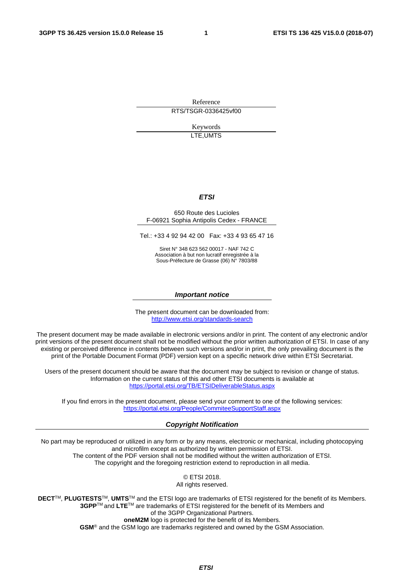Reference RTS/TSGR-0336425vf00

> Keywords LTE,UMTS

#### *ETSI*

#### 650 Route des Lucioles F-06921 Sophia Antipolis Cedex - FRANCE

Tel.: +33 4 92 94 42 00 Fax: +33 4 93 65 47 16

Siret N° 348 623 562 00017 - NAF 742 C Association à but non lucratif enregistrée à la Sous-Préfecture de Grasse (06) N° 7803/88

#### *Important notice*

The present document can be downloaded from: <http://www.etsi.org/standards-search>

The present document may be made available in electronic versions and/or in print. The content of any electronic and/or print versions of the present document shall not be modified without the prior written authorization of ETSI. In case of any existing or perceived difference in contents between such versions and/or in print, the only prevailing document is the print of the Portable Document Format (PDF) version kept on a specific network drive within ETSI Secretariat.

Users of the present document should be aware that the document may be subject to revision or change of status. Information on the current status of this and other ETSI documents is available at <https://portal.etsi.org/TB/ETSIDeliverableStatus.aspx>

If you find errors in the present document, please send your comment to one of the following services: <https://portal.etsi.org/People/CommiteeSupportStaff.aspx>

#### *Copyright Notification*

No part may be reproduced or utilized in any form or by any means, electronic or mechanical, including photocopying and microfilm except as authorized by written permission of ETSI. The content of the PDF version shall not be modified without the written authorization of ETSI. The copyright and the foregoing restriction extend to reproduction in all media.

> © ETSI 2018. All rights reserved.

**DECT**TM, **PLUGTESTS**TM, **UMTS**TM and the ETSI logo are trademarks of ETSI registered for the benefit of its Members. **3GPP**TM and **LTE**TM are trademarks of ETSI registered for the benefit of its Members and of the 3GPP Organizational Partners. **oneM2M** logo is protected for the benefit of its Members.

**GSM**® and the GSM logo are trademarks registered and owned by the GSM Association.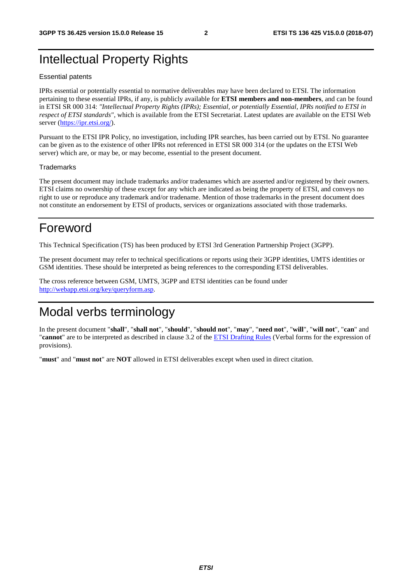## Intellectual Property Rights

#### Essential patents

IPRs essential or potentially essential to normative deliverables may have been declared to ETSI. The information pertaining to these essential IPRs, if any, is publicly available for **ETSI members and non-members**, and can be found in ETSI SR 000 314: *"Intellectual Property Rights (IPRs); Essential, or potentially Essential, IPRs notified to ETSI in respect of ETSI standards"*, which is available from the ETSI Secretariat. Latest updates are available on the ETSI Web server ([https://ipr.etsi.org/\)](https://ipr.etsi.org/).

Pursuant to the ETSI IPR Policy, no investigation, including IPR searches, has been carried out by ETSI. No guarantee can be given as to the existence of other IPRs not referenced in ETSI SR 000 314 (or the updates on the ETSI Web server) which are, or may be, or may become, essential to the present document.

#### **Trademarks**

The present document may include trademarks and/or tradenames which are asserted and/or registered by their owners. ETSI claims no ownership of these except for any which are indicated as being the property of ETSI, and conveys no right to use or reproduce any trademark and/or tradename. Mention of those trademarks in the present document does not constitute an endorsement by ETSI of products, services or organizations associated with those trademarks.

## Foreword

This Technical Specification (TS) has been produced by ETSI 3rd Generation Partnership Project (3GPP).

The present document may refer to technical specifications or reports using their 3GPP identities, UMTS identities or GSM identities. These should be interpreted as being references to the corresponding ETSI deliverables.

The cross reference between GSM, UMTS, 3GPP and ETSI identities can be found under [http://webapp.etsi.org/key/queryform.asp.](http://webapp.etsi.org/key/queryform.asp)

## Modal verbs terminology

In the present document "**shall**", "**shall not**", "**should**", "**should not**", "**may**", "**need not**", "**will**", "**will not**", "**can**" and "**cannot**" are to be interpreted as described in clause 3.2 of the [ETSI Drafting Rules](https://portal.etsi.org/Services/editHelp!/Howtostart/ETSIDraftingRules.aspx) (Verbal forms for the expression of provisions).

"**must**" and "**must not**" are **NOT** allowed in ETSI deliverables except when used in direct citation.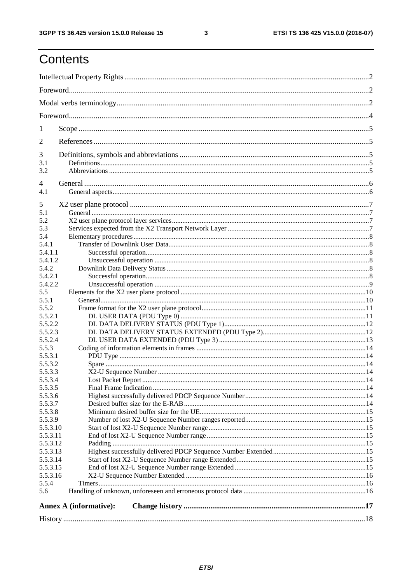$\mathbf{3}$ 

## Contents

| $\mathbf{I}$                             |                               |  |  |  |  |  |  |  |  |  |
|------------------------------------------|-------------------------------|--|--|--|--|--|--|--|--|--|
| $\overline{2}$                           |                               |  |  |  |  |  |  |  |  |  |
| 3<br>3.1<br>3.2                          |                               |  |  |  |  |  |  |  |  |  |
| 4<br>4.1                                 |                               |  |  |  |  |  |  |  |  |  |
| 5<br>5.1<br>5.2<br>5.3<br>5.4            |                               |  |  |  |  |  |  |  |  |  |
| 5.4.1<br>5.4.1.1<br>5.4.1.2              |                               |  |  |  |  |  |  |  |  |  |
| 5.4.2<br>5.4.2.1<br>5.4.2.2              |                               |  |  |  |  |  |  |  |  |  |
| 5.5<br>5.5.1                             |                               |  |  |  |  |  |  |  |  |  |
| 5.5.2<br>5.5.2.1<br>5.5.2.2<br>5.5.2.3   |                               |  |  |  |  |  |  |  |  |  |
| 5.5.2.4<br>5.5.3<br>5.5.3.1              |                               |  |  |  |  |  |  |  |  |  |
| 5.5.3.2<br>5.5.3.3<br>5.5.3.4<br>5.5.3.5 |                               |  |  |  |  |  |  |  |  |  |
| 5.5.3.6<br>5.5.3.7<br>5.5.3.8            |                               |  |  |  |  |  |  |  |  |  |
| 5.5.3.9<br>5.5.3.10<br>5.5.3.11          |                               |  |  |  |  |  |  |  |  |  |
| 5.5.3.12<br>5.5.3.13<br>5.5.3.14         |                               |  |  |  |  |  |  |  |  |  |
| 5.5.3.15<br>5.5.3.16<br>5.5.4<br>5.6     |                               |  |  |  |  |  |  |  |  |  |
|                                          | <b>Annex A (informative):</b> |  |  |  |  |  |  |  |  |  |
|                                          |                               |  |  |  |  |  |  |  |  |  |
|                                          |                               |  |  |  |  |  |  |  |  |  |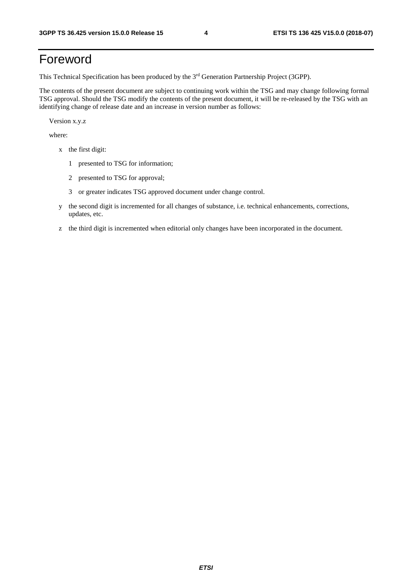## Foreword

This Technical Specification has been produced by the 3rd Generation Partnership Project (3GPP).

The contents of the present document are subject to continuing work within the TSG and may change following formal TSG approval. Should the TSG modify the contents of the present document, it will be re-released by the TSG with an identifying change of release date and an increase in version number as follows:

Version x.y.z

where:

- x the first digit:
	- 1 presented to TSG for information;
	- 2 presented to TSG for approval;
	- 3 or greater indicates TSG approved document under change control.
- y the second digit is incremented for all changes of substance, i.e. technical enhancements, corrections, updates, etc.
- z the third digit is incremented when editorial only changes have been incorporated in the document.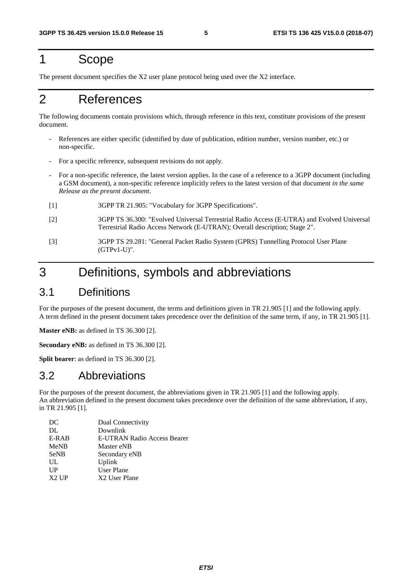## 1 Scope

The present document specifies the X2 user plane protocol being used over the X2 interface.

## 2 References

The following documents contain provisions which, through reference in this text, constitute provisions of the present document.

- References are either specific (identified by date of publication, edition number, version number, etc.) or non-specific.
- For a specific reference, subsequent revisions do not apply.
- For a non-specific reference, the latest version applies. In the case of a reference to a 3GPP document (including a GSM document), a non-specific reference implicitly refers to the latest version of that document *in the same Release as the present document*.
- [1] 3GPP TR 21.905: "Vocabulary for 3GPP Specifications".
- [2] 3GPP TS 36.300: "Evolved Universal Terrestrial Radio Access (E-UTRA) and Evolved Universal Terrestrial Radio Access Network (E-UTRAN); Overall description; Stage 2".
- [3] 3GPP TS 29.281: "General Packet Radio System (GPRS) Tunnelling Protocol User Plane (GTPv1-U)".

## 3 Definitions, symbols and abbreviations

## 3.1 Definitions

For the purposes of the present document, the terms and definitions given in TR 21.905 [1] and the following apply. A term defined in the present document takes precedence over the definition of the same term, if any, in TR 21.905 [1].

**Master eNB:** as defined in TS 36.300 [2].

**Secondary eNB:** as defined in TS 36.300 [2].

**Split bearer**: as defined in TS 36.300 [2].

## 3.2 Abbreviations

For the purposes of the present document, the abbreviations given in TR 21.905 [1] and the following apply. An abbreviation defined in the present document takes precedence over the definition of the same abbreviation, if any, in TR 21.905 [1].

| Dual Connectivity           |
|-----------------------------|
| Downlink                    |
| E-UTRAN Radio Access Bearer |
| Master eNB                  |
| Secondary eNB               |
| Uplink                      |
| User Plane                  |
| X2 User Plane               |
|                             |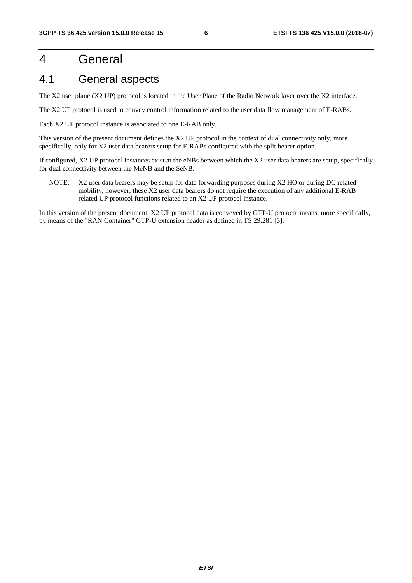## 4 General

## 4.1 General aspects

The X2 user plane (X2 UP) protocol is located in the User Plane of the Radio Network layer over the X2 interface.

The X2 UP protocol is used to convey control information related to the user data flow management of E-RABs.

Each X2 UP protocol instance is associated to one E-RAB only.

This version of the present document defines the X2 UP protocol in the context of dual connectivity only, more specifically, only for X2 user data bearers setup for E-RABs configured with the split bearer option.

If configured, X2 UP protocol instances exist at the eNBs between which the X2 user data bearers are setup, specifically for dual connectivity between the MeNB and the SeNB.

NOTE: X2 user data bearers may be setup for data forwarding purposes during X2 HO or during DC related mobility, however, these X2 user data bearers do not require the execution of any additional E-RAB related UP protocol functions related to an X2 UP protocol instance.

In this version of the present document, X2 UP protocol data is conveyed by GTP-U protocol means, more specifically, by means of the "RAN Container" GTP-U extension header as defined in TS 29.281 [3].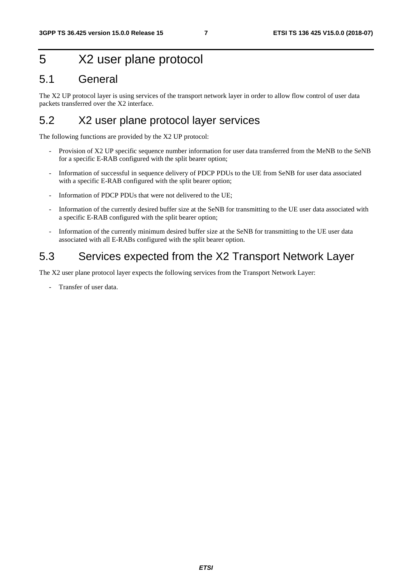## 5 X2 user plane protocol

## 5.1 General

The X2 UP protocol layer is using services of the transport network layer in order to allow flow control of user data packets transferred over the X2 interface.

## 5.2 X2 user plane protocol layer services

The following functions are provided by the X2 UP protocol:

- Provision of X2 UP specific sequence number information for user data transferred from the MeNB to the SeNB for a specific E-RAB configured with the split bearer option;
- Information of successful in sequence delivery of PDCP PDUs to the UE from SeNB for user data associated with a specific E-RAB configured with the split bearer option;
- Information of PDCP PDUs that were not delivered to the UE;
- Information of the currently desired buffer size at the SeNB for transmitting to the UE user data associated with a specific E-RAB configured with the split bearer option;
- Information of the currently minimum desired buffer size at the SeNB for transmitting to the UE user data associated with all E-RABs configured with the split bearer option.

## 5.3 Services expected from the X2 Transport Network Layer

The X2 user plane protocol layer expects the following services from the Transport Network Layer:

- Transfer of user data.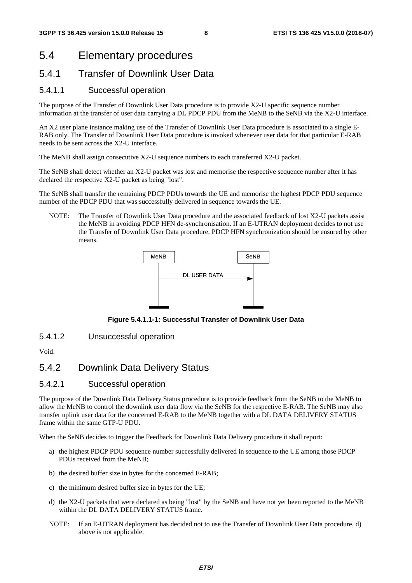## 5.4 Elementary procedures

### 5.4.1 Transfer of Downlink User Data

#### 5.4.1.1 Successful operation

The purpose of the Transfer of Downlink User Data procedure is to provide X2-U specific sequence number information at the transfer of user data carrying a DL PDCP PDU from the MeNB to the SeNB via the X2-U interface.

An X2 user plane instance making use of the Transfer of Downlink User Data procedure is associated to a single E-RAB only. The Transfer of Downlink User Data procedure is invoked whenever user data for that particular E-RAB needs to be sent across the X2-U interface.

The MeNB shall assign consecutive X2-U sequence numbers to each transferred X2-U packet.

The SeNB shall detect whether an X2-U packet was lost and memorise the respective sequence number after it has declared the respective X2-U packet as being "lost".

The SeNB shall transfer the remaining PDCP PDUs towards the UE and memorise the highest PDCP PDU sequence number of the PDCP PDU that was successfully delivered in sequence towards the UE.

NOTE: The Transfer of Downlink User Data procedure and the associated feedback of lost X2-U packets assist the MeNB in avoiding PDCP HFN de-synchronisation. If an E-UTRAN deployment decides to not use the Transfer of Downlink User Data procedure, PDCP HFN synchronization should be ensured by other means.



**Figure 5.4.1.1-1: Successful Transfer of Downlink User Data** 

5.4.1.2 Unsuccessful operation

Void.

### 5.4.2 Downlink Data Delivery Status

### 5.4.2.1 Successful operation

The purpose of the Downlink Data Delivery Status procedure is to provide feedback from the SeNB to the MeNB to allow the MeNB to control the downlink user data flow via the SeNB for the respective E-RAB. The SeNB may also transfer uplink user data for the concerned E-RAB to the MeNB together with a DL DATA DELIVERY STATUS frame within the same GTP-U PDU.

When the SeNB decides to trigger the Feedback for Downlink Data Delivery procedure it shall report:

- a) the highest PDCP PDU sequence number successfully delivered in sequence to the UE among those PDCP PDUs received from the MeNB;
- b) the desired buffer size in bytes for the concerned E-RAB;
- c) the minimum desired buffer size in bytes for the UE;
- d) the X2-U packets that were declared as being "lost" by the SeNB and have not yet been reported to the MeNB within the DL DATA DELIVERY STATUS frame.
- NOTE: If an E-UTRAN deployment has decided not to use the Transfer of Downlink User Data procedure, d) above is not applicable.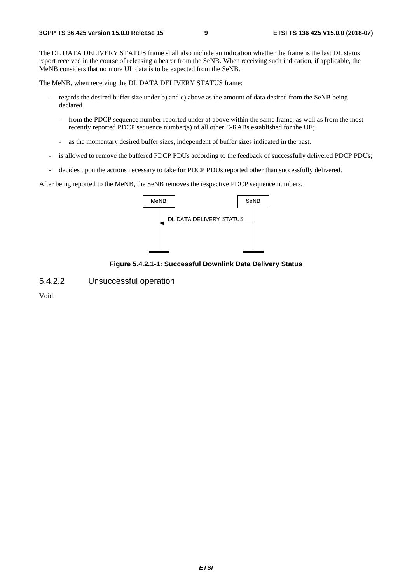The DL DATA DELIVERY STATUS frame shall also include an indication whether the frame is the last DL status report received in the course of releasing a bearer from the SeNB. When receiving such indication, if applicable, the MeNB considers that no more UL data is to be expected from the SeNB.

The MeNB, when receiving the DL DATA DELIVERY STATUS frame:

- regards the desired buffer size under b) and c) above as the amount of data desired from the SeNB being declared
	- from the PDCP sequence number reported under a) above within the same frame, as well as from the most recently reported PDCP sequence number(s) of all other E-RABs established for the UE;
	- as the momentary desired buffer sizes, independent of buffer sizes indicated in the past.
- is allowed to remove the buffered PDCP PDUs according to the feedback of successfully delivered PDCP PDUs;
- decides upon the actions necessary to take for PDCP PDUs reported other than successfully delivered.

After being reported to the MeNB, the SeNB removes the respective PDCP sequence numbers.



**Figure 5.4.2.1-1: Successful Downlink Data Delivery Status** 

5.4.2.2 Unsuccessful operation

Void.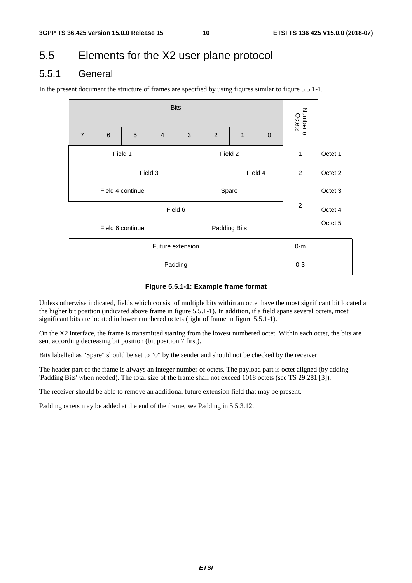## 5.5 Elements for the X2 user plane protocol

### 5.5.1 General

In the present document the structure of frames are specified by using figures similar to figure 5.5.1-1.

| <b>Bits</b>                      |   |                  |                |       |   |   |                |                     |         |
|----------------------------------|---|------------------|----------------|-------|---|---|----------------|---------------------|---------|
| $\overline{7}$                   | 6 | 5                | $\overline{4}$ | 3     | 2 | 1 | $\overline{0}$ | Number of<br>Octets |         |
| Field 1<br>Field 2               |   |                  |                |       |   |   |                | 1                   | Octet 1 |
| Field 3<br>Field 4               |   |                  |                |       |   |   |                | $\overline{2}$      | Octet 2 |
|                                  |   | Field 4 continue |                | Spare |   |   |                | Octet 3             |         |
| Field 6                          |   |                  |                |       |   |   |                | $\overline{c}$      | Octet 4 |
| Field 6 continue<br>Padding Bits |   |                  |                |       |   |   |                |                     | Octet 5 |
| Future extension                 |   |                  |                |       |   |   |                | $0-m$               |         |
| Padding                          |   |                  |                |       |   |   |                |                     |         |

#### **Figure 5.5.1-1: Example frame format**

Unless otherwise indicated, fields which consist of multiple bits within an octet have the most significant bit located at the higher bit position (indicated above frame in figure 5.5.1-1). In addition, if a field spans several octets, most significant bits are located in lower numbered octets (right of frame in figure 5.5.1-1).

On the X2 interface, the frame is transmitted starting from the lowest numbered octet. Within each octet, the bits are sent according decreasing bit position (bit position 7 first).

Bits labelled as "Spare" should be set to "0" by the sender and should not be checked by the receiver.

The header part of the frame is always an integer number of octets. The payload part is octet aligned (by adding 'Padding Bits' when needed). The total size of the frame shall not exceed 1018 octets (see TS 29.281 [3]).

The receiver should be able to remove an additional future extension field that may be present.

Padding octets may be added at the end of the frame, see Padding in 5.5.3.12.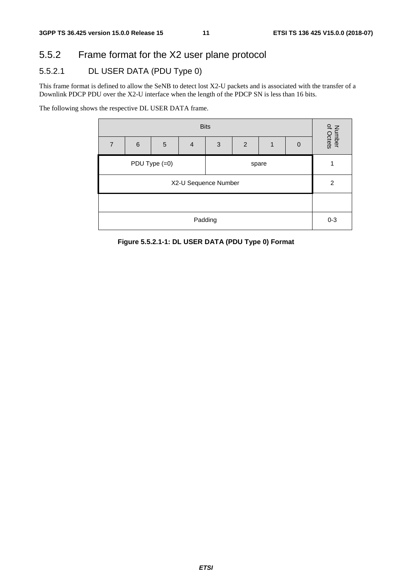## 5.5.2 Frame format for the X2 user plane protocol

## 5.5.2.1 DL USER DATA (PDU Type 0)

This frame format is defined to allow the SeNB to detect lost X2-U packets and is associated with the transfer of a Downlink PDCP PDU over the X2-U interface when the length of the PDCP SN is less than 16 bits.

The following shows the respective DL USER DATA frame.



**Figure 5.5.2.1-1: DL USER DATA (PDU Type 0) Format**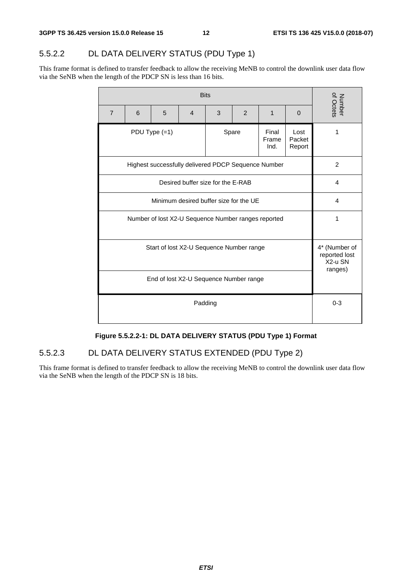## 5.5.2.2 DL DATA DELIVERY STATUS (PDU Type 1)

This frame format is defined to transfer feedback to allow the receiving MeNB to control the downlink user data flow via the SeNB when the length of the PDCP SN is less than 16 bits.

|                                                     | <b>Bits</b> |                                                     |                |   |       |                        |                          |                                                      |  |  |
|-----------------------------------------------------|-------------|-----------------------------------------------------|----------------|---|-------|------------------------|--------------------------|------------------------------------------------------|--|--|
| $\overline{7}$                                      | 6           | 5                                                   | $\overline{4}$ | 3 | 2     | 1                      | $\Omega$                 | Number<br>of Octets                                  |  |  |
|                                                     |             | PDU Type $(=1)$                                     |                |   | Spare | Final<br>Frame<br>Ind. | Lost<br>Packet<br>Report | 1                                                    |  |  |
|                                                     |             | Highest successfully delivered PDCP Sequence Number |                |   |       |                        |                          | $\overline{2}$                                       |  |  |
| Desired buffer size for the E-RAB                   |             |                                                     |                |   |       |                        |                          | 4                                                    |  |  |
| Minimum desired buffer size for the UE              |             |                                                     |                |   |       |                        |                          | 4                                                    |  |  |
| Number of lost X2-U Sequence Number ranges reported |             |                                                     |                |   |       |                        |                          | 1                                                    |  |  |
| Start of lost X2-U Sequence Number range            |             |                                                     |                |   |       |                        |                          | 4* (Number of<br>reported lost<br>X2-u SN<br>ranges) |  |  |
| End of lost X2-U Sequence Number range              |             |                                                     |                |   |       |                        |                          |                                                      |  |  |
| Padding                                             |             |                                                     |                |   |       |                        |                          | $0 - 3$                                              |  |  |

### **Figure 5.5.2.2-1: DL DATA DELIVERY STATUS (PDU Type 1) Format**

### 5.5.2.3 DL DATA DELIVERY STATUS EXTENDED (PDU Type 2)

This frame format is defined to transfer feedback to allow the receiving MeNB to control the downlink user data flow via the SeNB when the length of the PDCP SN is 18 bits.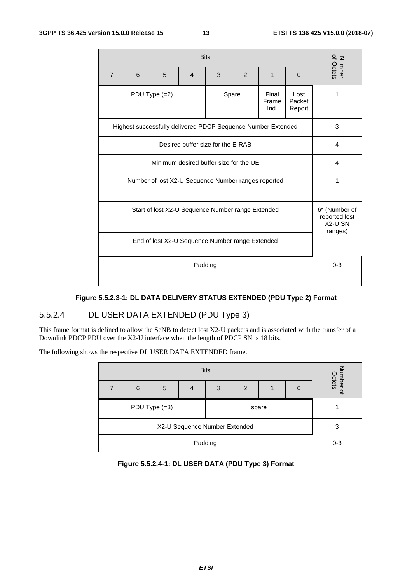| $\overline{7}$                                      | 6 | 5                                                            | $\overline{4}$ | Number<br>of Octets |       |                        |                                                      |         |
|-----------------------------------------------------|---|--------------------------------------------------------------|----------------|---------------------|-------|------------------------|------------------------------------------------------|---------|
|                                                     |   | PDU Type $(=2)$                                              |                |                     | Spare | Final<br>Frame<br>Ind. | Lost<br>Packet<br>Report                             | 1       |
|                                                     |   | Highest successfully delivered PDCP Sequence Number Extended |                |                     |       |                        |                                                      | 3       |
| Desired buffer size for the E-RAB                   |   |                                                              |                |                     |       |                        |                                                      | 4       |
| Minimum desired buffer size for the UE              |   |                                                              |                |                     |       |                        |                                                      | 4       |
| Number of lost X2-U Sequence Number ranges reported |   |                                                              |                |                     |       |                        | 1                                                    |         |
| Start of lost X2-U Sequence Number range Extended   |   |                                                              |                |                     |       |                        | 6* (Number of<br>reported lost<br>X2-U SN<br>ranges) |         |
| End of lost X2-U Sequence Number range Extended     |   |                                                              |                |                     |       |                        |                                                      |         |
| Padding                                             |   |                                                              |                |                     |       |                        |                                                      | $0 - 3$ |

### **Figure 5.5.2.3-1: DL DATA DELIVERY STATUS EXTENDED (PDU Type 2) Format**

### 5.5.2.4 DL USER DATA EXTENDED (PDU Type 3)

This frame format is defined to allow the SeNB to detect lost X2-U packets and is associated with the transfer of a Downlink PDCP PDU over the X2-U interface when the length of PDCP SN is 18 bits.

The following shows the respective DL USER DATA EXTENDED frame.

| <b>Bits</b>                   |   |               |   |   |       |  |   |                             |
|-------------------------------|---|---------------|---|---|-------|--|---|-----------------------------|
|                               | 6 | 5             | 4 | 3 | 2     |  | 0 | umber<br>Octets<br>$\Omega$ |
|                               |   | PDU Type (=3) |   |   | spare |  |   |                             |
| X2-U Sequence Number Extended |   |               |   |   |       |  |   | 3                           |
| Padding                       |   |               |   |   |       |  |   | $0 - 3$                     |

| Figure 5.5.2.4-1: DL USER DATA (PDU Type 3) Format |  |
|----------------------------------------------------|--|
|----------------------------------------------------|--|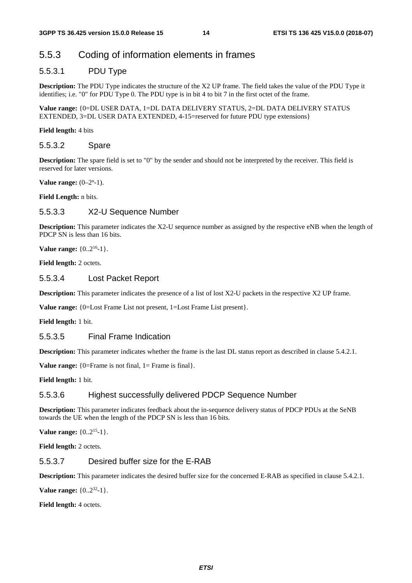## 5.5.3 Coding of information elements in frames

### 5.5.3.1 PDU Type

**Description:** The PDU Type indicates the structure of the X2 UP frame. The field takes the value of the PDU Type it identifies; i.e. "0" for PDU Type 0. The PDU type is in bit 4 to bit 7 in the first octet of the frame.

**Value range:** {0=DL USER DATA, 1=DL DATA DELIVERY STATUS, 2=DL DATA DELIVERY STATUS EXTENDED, 3=DL USER DATA EXTENDED, 4-15=reserved for future PDU type extensions}

**Field length:** 4 bits

#### 5.5.3.2 Spare

**Description:** The spare field is set to "0" by the sender and should not be interpreted by the receiver. This field is reserved for later versions.

**Value range:**  $(0-2^{n}-1)$ .

**Field Length:** n bits.

### 5.5.3.3 X2-U Sequence Number

**Description:** This parameter indicates the X2-U sequence number as assigned by the respective eNB when the length of PDCP SN is less than 16 bits.

**Value range:** {0..2<sup>16</sup>-1}.

**Field length:** 2 octets.

#### 5.5.3.4 Lost Packet Report

**Description:** This parameter indicates the presence of a list of lost X2-U packets in the respective X2 UP frame.

**Value range:** {0=Lost Frame List not present, 1=Lost Frame List present}.

**Field length:** 1 bit.

#### 5.5.3.5 Final Frame Indication

**Description:** This parameter indicates whether the frame is the last DL status report as described in clause 5.4.2.1.

**Value range:** {0=Frame is not final, 1= Frame is final}.

**Field length:** 1 bit.

#### 5.5.3.6 Highest successfully delivered PDCP Sequence Number

**Description:** This parameter indicates feedback about the in-sequence delivery status of PDCP PDUs at the SeNB towards the UE when the length of the PDCP SN is less than 16 bits.

**Value range:**  $\{0..2^{15}-1\}$ .

**Field length:** 2 octets.

### 5.5.3.7 Desired buffer size for the E-RAB

**Description:** This parameter indicates the desired buffer size for the concerned E-RAB as specified in clause 5.4.2.1.

**Value range:**  $\{0..2^{32}-1\}$ .

**Field length:** 4 octets.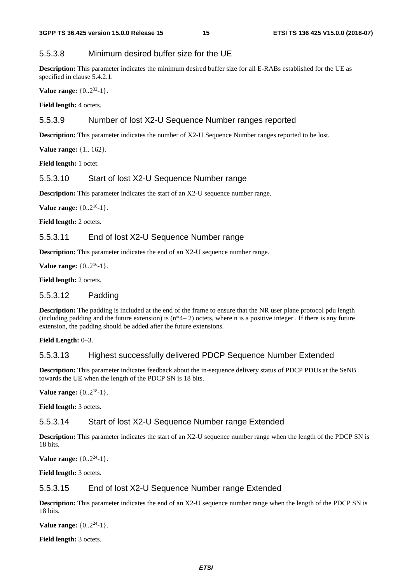### 5.5.3.8 Minimum desired buffer size for the UE

**Description:** This parameter indicates the minimum desired buffer size for all E-RABs established for the UE as specified in clause 5.4.2.1.

**Value range:** {0..2<sup>32</sup>-1}.

**Field length:** 4 octets.

#### 5.5.3.9 Number of lost X2-U Sequence Number ranges reported

**Description:** This parameter indicates the number of X2-U Sequence Number ranges reported to be lost.

**Value range:** {1.. 162}.

**Field length:** 1 octet.

#### 5.5.3.10 Start of lost X2-U Sequence Number range

**Description:** This parameter indicates the start of an X2-U sequence number range.

**Value range:**  $\{0..2^{16}-1\}$ .

Field length: 2 octets.

#### 5.5.3.11 End of lost X2-U Sequence Number range

**Description:** This parameter indicates the end of an X2-U sequence number range.

**Value range:**  $\{0..2^{16}-1\}$ .

**Field length:** 2 octets.

#### 5.5.3.12 Padding

**Description:** The padding is included at the end of the frame to ensure that the NR user plane protocol pdu length (including padding and the future extension) is  $(n*4-2)$  octets, where n is a positive integer. If there is any future extension, the padding should be added after the future extensions.

**Field Length:** 0–3.

#### 5.5.3.13 Highest successfully delivered PDCP Sequence Number Extended

**Description:** This parameter indicates feedback about the in-sequence delivery status of PDCP PDUs at the SeNB towards the UE when the length of the PDCP SN is 18 bits.

**Value range:**  $\{0..2^{18}-1\}$ .

**Field length:** 3 octets.

#### 5.5.3.14 Start of lost X2-U Sequence Number range Extended

**Description:** This parameter indicates the start of an X2-U sequence number range when the length of the PDCP SN is 18 bits.

**Value range:**  $\{0..2^{24}-1\}$ .

**Field length:** 3 octets.

#### 5.5.3.15 End of lost X2-U Sequence Number range Extended

**Description:** This parameter indicates the end of an X2-U sequence number range when the length of the PDCP SN is 18 bits.

**Value range:** {0..2<sup>24</sup>-1}.

**Field length:** 3 octets.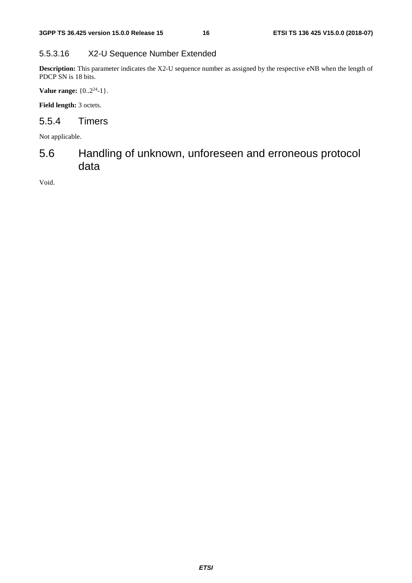### 5.5.3.16 X2-U Sequence Number Extended

**Description:** This parameter indicates the X2-U sequence number as assigned by the respective eNB when the length of PDCP SN is 18 bits.

**Value range:** {0..2<sup>24</sup>-1}.

Field length: 3 octets.

### 5.5.4 Timers

Not applicable.

## 5.6 Handling of unknown, unforeseen and erroneous protocol data

Void.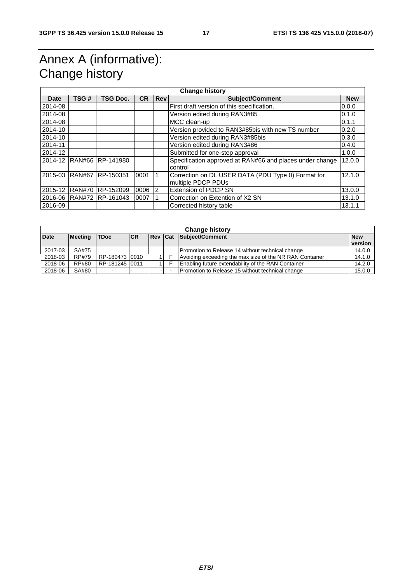## Annex A (informative): Change history

|             | <b>Change history</b> |                          |           |                |                                                                          |            |  |  |
|-------------|-----------------------|--------------------------|-----------|----------------|--------------------------------------------------------------------------|------------|--|--|
| <b>Date</b> | TSG#                  | <b>TSG Doc.</b>          | <b>CR</b> | <b>Rev</b>     | Subject/Comment                                                          | <b>New</b> |  |  |
| 2014-08     |                       |                          |           |                | First draft version of this specification.                               | 0.0.0      |  |  |
| 2014-08     |                       |                          |           |                | Version edited during RAN3#85                                            | 0.1.0      |  |  |
| 2014-08     |                       |                          |           |                | MCC clean-up                                                             | 0.1.1      |  |  |
| 2014-10     |                       |                          |           |                | Version provided to RAN3#85bis with new TS number                        | 0.2.0      |  |  |
| 2014-10     |                       |                          |           |                | Version edited during RAN3#85bis                                         | 0.3.0      |  |  |
| 2014-11     |                       |                          |           |                | Version edited during RAN3#86                                            | 0.4.0      |  |  |
| 2014-12     |                       |                          |           |                | Submitted for one-step approval                                          | 1.0.0      |  |  |
|             |                       | 2014-12 RAN#66 RP-141980 |           |                | Specification approved at RAN#66 and places under change<br>control      | 12.0.0     |  |  |
|             |                       | 2015-03 RAN#67 RP-150351 | 0001      | 1              | Correction on DL USER DATA (PDU Type 0) Format for<br>multiple PDCP PDUs | 12.1.0     |  |  |
| 2015-12     |                       | RAN#70 RP-152099         | 0006      | $\overline{2}$ | Extension of PDCP SN                                                     | 13.0.0     |  |  |
|             |                       | 2016-06 RAN#72 RP-161043 | 0007      |                | Correction on Extention of X2 SN                                         | 13.1.0     |  |  |
| 2016-09     |                       |                          |           |                | Corrected history table                                                  | 13.1.1     |  |  |

| <b>Change history</b> |              |                |    |           |  |                                                         |            |  |  |
|-----------------------|--------------|----------------|----|-----------|--|---------------------------------------------------------|------------|--|--|
| <b>Date</b>           | Meeting      | <b>TDoc</b>    | CR | ∣Rev lCat |  | Subject/Comment                                         | <b>New</b> |  |  |
|                       |              |                |    |           |  |                                                         | version    |  |  |
| 2017-03               | SA#75        |                |    |           |  | Promotion to Release 14 without technical change        | 14.0.0     |  |  |
| 2018-03               | RP#79        | RP-180473 0010 |    |           |  | Avoiding exceeding the max size of the NR RAN Container | 14.1.0     |  |  |
| 2018-06               | <b>RP#80</b> | RP-181245 0011 |    |           |  | Enabling future extendability of the RAN Container      | 14.2.0     |  |  |
| 2018-06               | SA#80        |                |    |           |  | Promotion to Release 15 without technical change        | 15.0.0     |  |  |